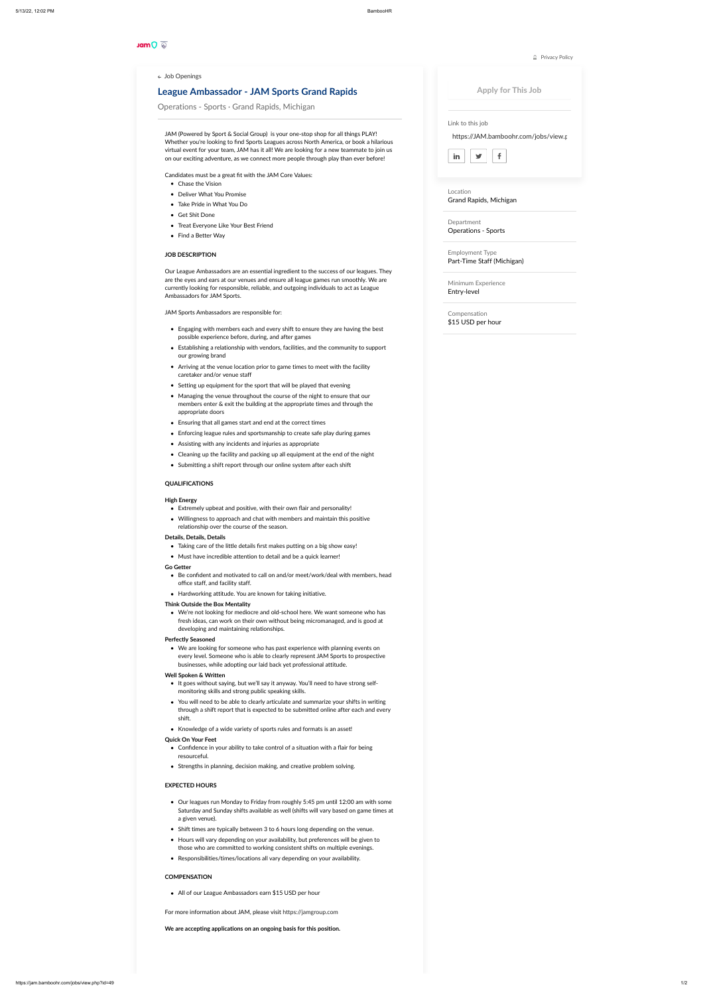#### **Jam**O

## **League Ambassador - JAM Sports Grand Rapids**

Operations - Sports · Grand Rapids, Michigan

JAM [\(Powered](https://jamgroup.com/) by Sport & Social Group) is your one-stop shop for all things PLAY! Whether you're looking to find Sports Leagues across North America, or book a hilarious virtual event for your team, JAM has it all! We are looking for a new teammate to join us on our exciting adventure, as we connect more people through play than ever before!

- Engaging with members each and every shift to ensure they are having the best possible experience before, during, and after games
- Establishing a relationship with vendors, facilities, and the community to support our growing brand
- Arriving at the venue location prior to game times to meet with the facility caretaker and/or venue staff
- Setting up equipment for the sport that will be played that evening
- Managing the venue throughout the course of the night to ensure that our members enter & exit the building at the appropriate times and through the appropriate doors
- Ensuring that all games start and end at the correct times
- Enforcing league rules and sportsmanship to create safe play during games
- Assisting with any incidents and injuries as appropriate
- Cleaning up the facility and packing up all equipment at the end of the night
- Submitting a shift report through our online system after each shift

Candidates must be a great fit with the JAM Core Values:

- Chase the Vision
- Deliver What You Promise
- Take Pride in What You Do
- Get Shit Done
- Treat Everyone Like Your Best Friend
- Find a Better Way

#### **JOB DESCRIPTION**

Our League Ambassadors are an essential ingredient to the success of our leagues. They are the eyes and ears at our venues and ensure all league games run smoothly. We are currently looking for responsible, reliable, and outgoing individuals to act as League Ambassadors for JAM Sports.

JAM Sports Ambassadors are responsible for:

- Be confident and motivated to call on and/or meet/work/deal with members, head office staff, and facility staff.
- Hardworking attitude. You are known for taking initiative.

- It goes without saying, but we'll say it anyway. You'll need to have strong selfmonitoring skills and strong public speaking skills.
- You will need to be able to clearly articulate and summarize your shifts in writing through a shift report that is expected to be submitted online after each and every shift.
- Knowledge of a wide variety of sports rules and formats is an asset!

- Confidence in your ability to take control of a situation with a flair for being resourceful.
- Strengths in planning, decision making, and creative problem solving.

### **QUALIFICATIONS**

#### **High Energy**

- Extremely upbeat and positive, with their own flair and personality!
- Willingness to approach and chat with members and maintain this positive relationship over the course of the season.

#### **Details, Details, Details**

# $\cap$  [Privacy](http://www.bamboohr.com/privacy.php) Policy Apply for This JobLink to this job https://JAM.bamboohr.com/jobs/view.p  $f$  $\blacktriangleright$ in Location Grand Rapids, Michigan Department Operations - Sports Employment Type Part-Time Staff (Michigan) Minimum Experience Entry-level Compensation \$15 USD per hour

 $\leftarrow$  Job [Openings](https://jam.bamboohr.com/jobs?source=bamboohr)

- Taking care of the little details first makes putting on a big show easy!
- Must have incredible attention to detail and be a quick learner!

#### **Go Getter**

#### **Think Outside the Box Mentality**

We're not looking for mediocre and old-school here. We want someone who has fresh ideas, can work on their own without being micromanaged, and is good at developing and maintaining relationships.

#### **Perfectly Seasoned**

We are looking for someone who has past experience with planning events on every level. Someone who is able to clearly represent JAM Sports to prospective businesses, while adopting our laid back yet professional attitude.

#### **Well Spoken & Written**

#### **Quick On Your Feet**

#### **EXPECTED HOURS**

- Our leagues run Monday to Friday from roughly 5:45 pm until 12:00 am with some Saturday and Sunday shifts available as well (shifts will vary based on game times at a given venue).
- Shift times are typically between 3 to 6 hours long depending on the venue.
- Hours will vary depending on your availability, but preferences will be given to those who are committed to working consistent shifts on multiple evenings.
- Responsibilities/times/locations all vary depending on your availability.

#### **COMPENSATION**

• All of our League Ambassadors earn \$15 USD per hour

For more information about JAM, please visit [https://jamgroup.com](https://jamgroup.com/)

**We are accepting applications on an ongoing basis for this position.**